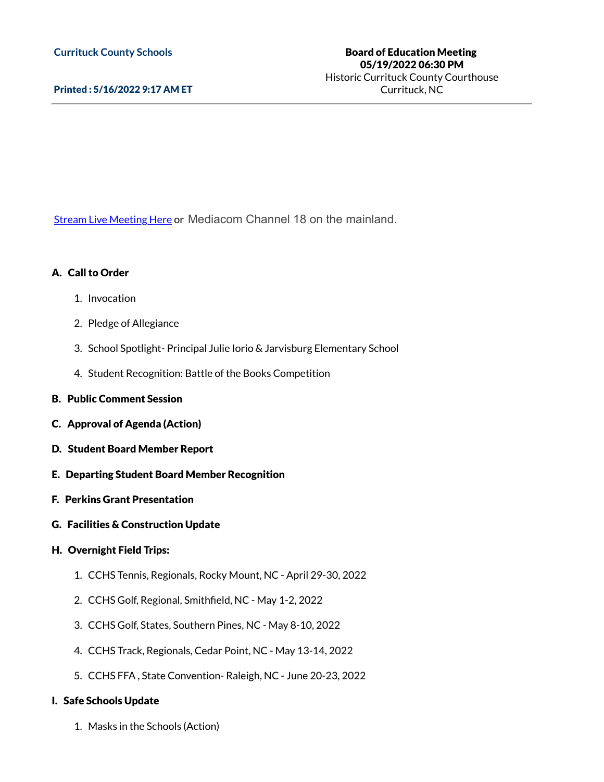### Printed : 5/16/2022 9:17 AM ET

Stream Live [Meeting](http://currituckcountync.iqm2.com/Citizens/default.aspx) Here or Mediacom Channel 18 on the mainland.

### A. Call to Order

- 1. Invocation
- 2. Pledge of Allegiance
- 3. School Spotlight- Principal Julie Iorio & Jarvisburg Elementary School
- 4. Student Recognition: Battle of the Books Competition
- B. Public Comment Session
- C. Approval of Agenda (Action)
- D. Student Board Member Report
- E. Departing Student Board Member Recognition
- F. Perkins Grant Presentation
- G. Facilities & Construction Update

## H. Overnight Field Trips:

- 1. CCHS Tennis, Regionals, Rocky Mount, NC April 29-30, 2022
- 2. CCHS Golf, Regional, Smithfield, NC May 1-2, 2022
- 3. CCHS Golf, States, Southern Pines, NC May 8-10, 2022
- 4. CCHS Track, Regionals, Cedar Point, NC May 13-14, 2022
- 5. CCHS FFA , State Convention- Raleigh, NC June 20-23, 2022

#### I. Safe Schools Update

1. Masks in the Schools (Action)